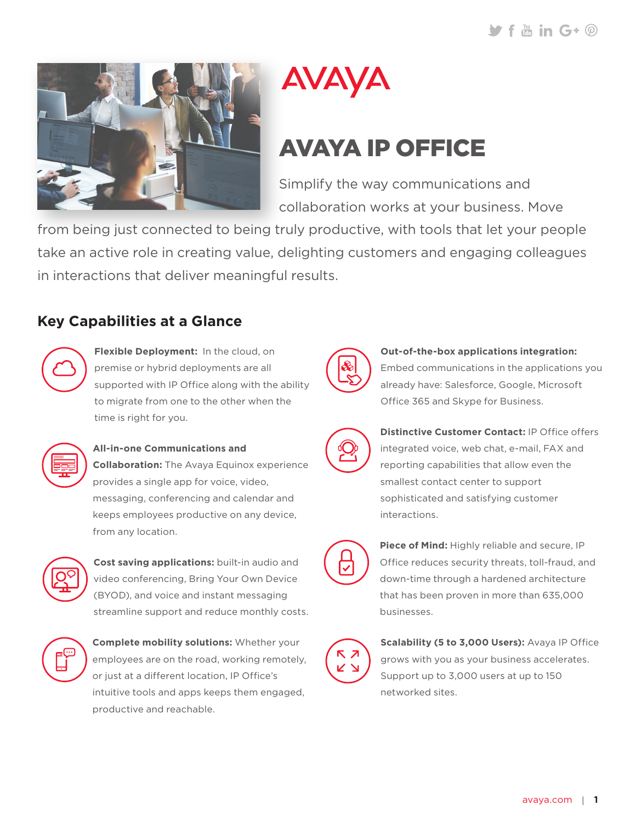



# AVAYA IP OFFICE

Simplify the way communications and collaboration works at your business. Move

from being just connected to being truly productive, with tools that let your people take an active role in creating value, delighting customers and engaging colleagues in interactions that deliver meaningful results.

### **Key Capabilities at a Glance**



**Flexible Deployment:** In the cloud, on premise or hybrid deployments are all supported with IP Office along with the ability to migrate from one to the other when the time is right for you.



#### **All-in-one Communications and**

**Collaboration:** The Avaya Equinox experience provides a single app for voice, video, messaging, conferencing and calendar and keeps employees productive on any device, from any location.



**Cost saving applications:** built-in audio and video conferencing, Bring Your Own Device (BYOD), and voice and instant messaging streamline support and reduce monthly costs.



**Complete mobility solutions:** Whether your employees are on the road, working remotely, or just at a different location, IP Office's intuitive tools and apps keeps them engaged, productive and reachable.



#### **Out-of-the-box applications integration:** Embed communications in the applications you

already have: Salesforce, Google, Microsoft Office 365 and Skype for Business.



**Distinctive Customer Contact:** IP Office offers integrated voice, web chat, e-mail, FAX and reporting capabilities that allow even the smallest contact center to support sophisticated and satisfying customer interactions.



**Piece of Mind:** Highly reliable and secure, IP Office reduces security threats, toll-fraud, and down-time through a hardened architecture that has been proven in more than 635,000 businesses.



**Scalability (5 to 3,000 Users):** Avaya IP Office grows with you as your business accelerates. Support up to 3,000 users at up to 150 networked sites.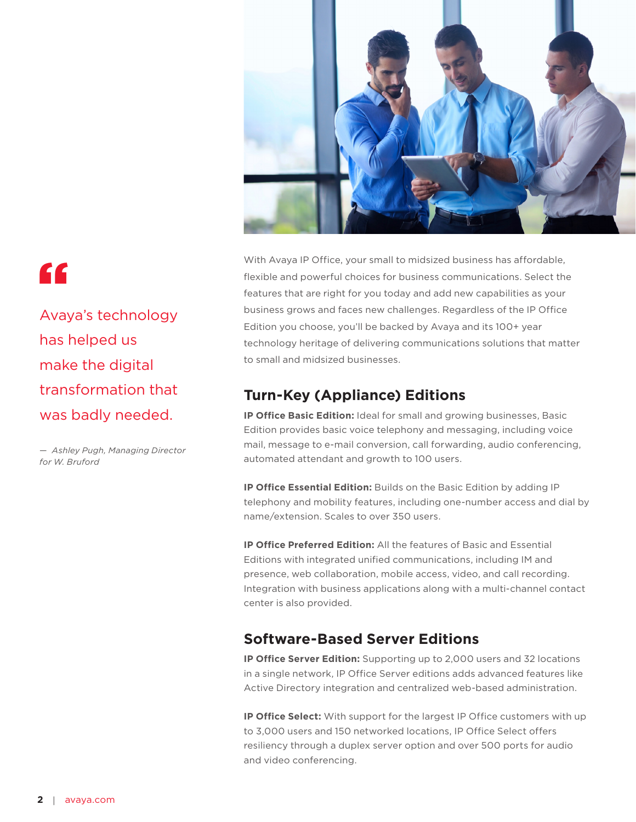

"

Avaya's technology has helped us make the digital transformation that was badly needed.

*— Ashley Pugh, Managing Director for W. Bruford*

With Avaya IP Office, your small to midsized business has affordable, flexible and powerful choices for business communications. Select the features that are right for you today and add new capabilities as your business grows and faces new challenges. Regardless of the IP Office Edition you choose, you'll be backed by Avaya and its 100+ year technology heritage of delivering communications solutions that matter to small and midsized businesses.

#### **Turn-Key (Appliance) Editions**

**IP Office Basic Edition:** Ideal for small and growing businesses, Basic Edition provides basic voice telephony and messaging, including voice mail, message to e-mail conversion, call forwarding, audio conferencing, automated attendant and growth to 100 users.

**IP Office Essential Edition:** Builds on the Basic Edition by adding IP telephony and mobility features, including one-number access and dial by name/extension. Scales to over 350 users.

**IP Office Preferred Edition:** All the features of Basic and Essential Editions with integrated unified communications, including IM and presence, web collaboration, mobile access, video, and call recording. Integration with business applications along with a multi-channel contact center is also provided.

#### **Software-Based Server Editions**

**IP Office Server Edition:** Supporting up to 2,000 users and 32 locations in a single network, IP Office Server editions adds advanced features like Active Directory integration and centralized web-based administration.

**IP Office Select:** With support for the largest IP Office customers with up to 3,000 users and 150 networked locations, IP Office Select offers resiliency through a duplex server option and over 500 ports for audio and video conferencing.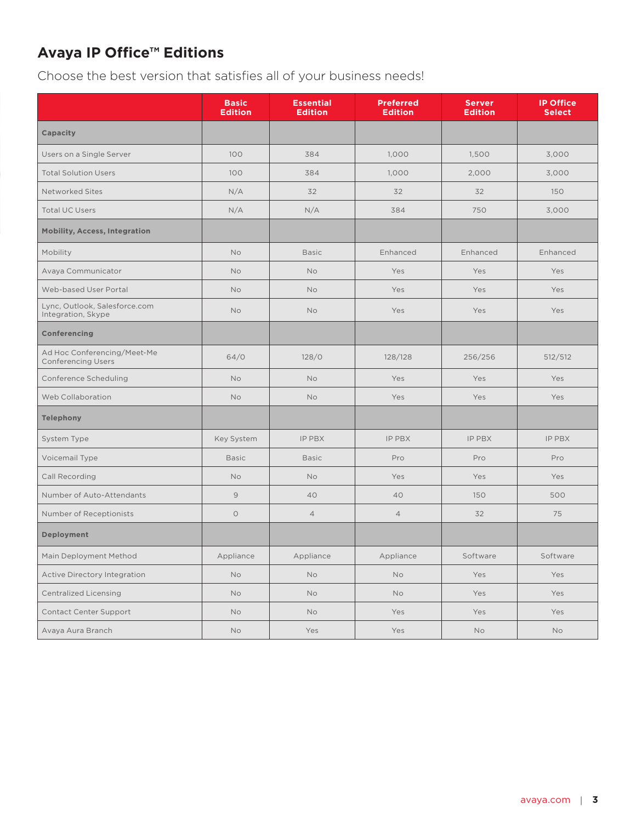## **Avaya IP Office™ Editions**

Choose the best version that satisfies all of your business needs!

|                                                          | <b>Basic</b><br><b>Edition</b> | <b>Essential</b><br><b>Edition</b> | <b>Preferred</b><br><b>Edition</b> | <b>Server</b><br><b>Edition</b> | <b>IP Office</b><br><b>Select</b> |
|----------------------------------------------------------|--------------------------------|------------------------------------|------------------------------------|---------------------------------|-----------------------------------|
| Capacity                                                 |                                |                                    |                                    |                                 |                                   |
| Users on a Single Server                                 | 100                            | 384                                | 1,000                              | 1,500                           | 3,000                             |
| <b>Total Solution Users</b>                              | 100                            | 384                                | 1.000                              | 2,000                           | 3,000                             |
| Networked Sites                                          | N/A                            | 32                                 | 32                                 | 32                              | 150                               |
| <b>Total UC Users</b>                                    | N/A                            | N/A                                | 384                                | 750                             | 3,000                             |
| <b>Mobility, Access, Integration</b>                     |                                |                                    |                                    |                                 |                                   |
| Mobility                                                 | <b>No</b>                      | <b>Basic</b>                       | Enhanced                           | Enhanced                        | Enhanced                          |
| Avaya Communicator                                       | <b>No</b>                      | No                                 | Yes                                | Yes                             | <b>Yes</b>                        |
| Web-based User Portal                                    | No                             | No                                 | Yes                                | Yes                             | <b>Yes</b>                        |
| Lync, Outlook, Salesforce.com<br>Integration, Skype      | <b>No</b>                      | No                                 | Yes                                | Yes                             | Yes                               |
| Conferencing                                             |                                |                                    |                                    |                                 |                                   |
| Ad Hoc Conferencing/Meet-Me<br><b>Conferencing Users</b> | 64/0                           | 128/0                              | 128/128                            | 256/256                         | 512/512                           |
| Conference Scheduling                                    | <b>No</b>                      | <b>No</b>                          | Yes                                | Yes                             | Yes                               |
| Web Collaboration                                        | <b>No</b>                      | No                                 | Yes                                | Yes                             | Yes                               |
| <b>Telephony</b>                                         |                                |                                    |                                    |                                 |                                   |
| System Type                                              | Key System                     | IP PBX                             | IP PBX                             | <b>IP PBX</b>                   | <b>IP PBX</b>                     |
| Voicemail Type                                           | <b>Basic</b>                   | <b>Basic</b>                       | Pro                                | Pro                             | Pro                               |
| Call Recording                                           | <b>No</b>                      | No                                 | Yes                                | Yes                             | Yes                               |
| Number of Auto-Attendants                                | $\overline{9}$                 | 40                                 | 40                                 | 150                             | 500                               |
| Number of Receptionists                                  | $\circlearrowright$            | $\overline{4}$                     | $\overline{4}$                     | 32                              | 75                                |
| Deployment                                               |                                |                                    |                                    |                                 |                                   |
| Main Deployment Method                                   | Appliance                      | Appliance                          | Appliance                          | Software                        | Software                          |
| <b>Active Directory Integration</b>                      | No                             | No                                 | No                                 | Yes                             | Yes                               |
| <b>Centralized Licensing</b>                             | No                             | No                                 | No                                 | Yes                             | Yes                               |
| Contact Center Support                                   | No                             | <b>No</b>                          | Yes                                | Yes                             | Yes                               |
| Avaya Aura Branch                                        | No                             | Yes                                | Yes                                | No                              | No                                |